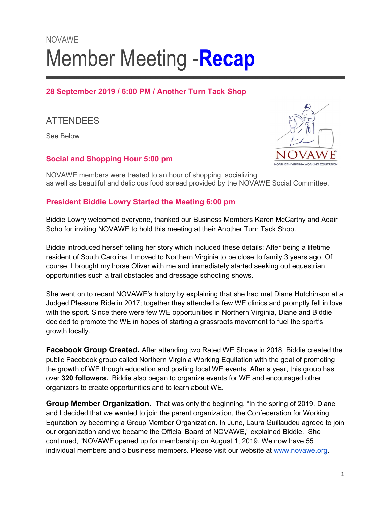# NOVAWE Member Meeting - Recap

# 28 September 2019 / 6:00 PM / Another Turn Tack Shop

# **ATTENDEES**

See Below

# Social and Shopping Hour 5:00 pm



NOVAWE members were treated to an hour of shopping, socializing as well as beautiful and delicious food spread provided by the NOVAWE Social Committee.

# President Biddie Lowry Started the Meeting 6:00 pm

Biddie Lowry welcomed everyone, thanked our Business Members Karen McCarthy and Adair Soho for inviting NOVAWE to hold this meeting at their Another Turn Tack Shop.

Biddie introduced herself telling her story which included these details: After being a lifetime resident of South Carolina, I moved to Northern Virginia to be close to family 3 years ago. Of course, I brought my horse Oliver with me and immediately started seeking out equestrian opportunities such a trail obstacles and dressage schooling shows.

She went on to recant NOVAWE's history by explaining that she had met Diane Hutchinson at a Judged Pleasure Ride in 2017; together they attended a few WE clinics and promptly fell in love with the sport. Since there were few WE opportunities in Northern Virginia, Diane and Biddie decided to promote the WE in hopes of starting a grassroots movement to fuel the sport's growth locally.

Facebook Group Created. After attending two Rated WE Shows in 2018, Biddie created the public Facebook group called Northern Virginia Working Equitation with the goal of promoting the growth of WE though education and posting local WE events. After a year, this group has over 320 followers. Biddie also began to organize events for WE and encouraged other organizers to create opportunities and to learn about WE.

**Group Member Organization.** That was only the beginning. "In the spring of 2019, Diane and I decided that we wanted to join the parent organization, the Confederation for Working Equitation by becoming a Group Member Organization. In June, Laura Guillaudeu agreed to join our organization and we became the Official Board of NOVAWE," explained Biddie. She continued, "NOVAWE opened up for membership on August 1, 2019. We now have 55 individual members and 5 business members. Please visit our website at www.novawe.org."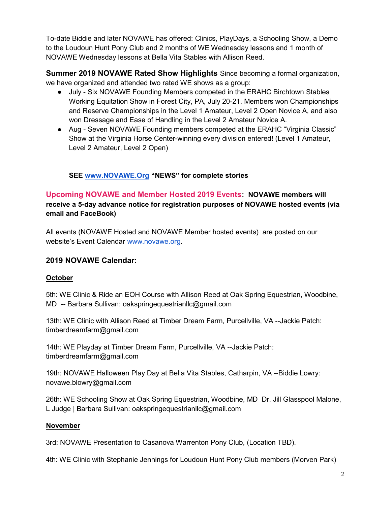To-date Biddie and later NOVAWE has offered: Clinics, PlayDays, a Schooling Show, a Demo to the Loudoun Hunt Pony Club and 2 months of WE Wednesday lessons and 1 month of NOVAWE Wednesday lessons at Bella Vita Stables with Allison Reed.

Summer 2019 NOVAWE Rated Show Highlights Since becoming a formal organization, we have organized and attended two rated WE shows as a group:

- July Six NOVAWE Founding Members competed in the ERAHC Birchtown Stables Working Equitation Show in Forest City, PA, July 20-21. Members won Championships and Reserve Championships in the Level 1 Amateur, Level 2 Open Novice A, and also won Dressage and Ease of Handling in the Level 2 Amateur Novice A.
- Aug Seven NOVAWE Founding members competed at the ERAHC "Virginia Classic" Show at the Virginia Horse Center-winning every division entered! (Level 1 Amateur, Level 2 Amateur, Level 2 Open)

# SEE www.NOVAWE.Org "NEWS" for complete stories

# Upcoming NOVAWE and Member Hosted 2019 Events: NOVAWE members will receive a 5-day advance notice for registration purposes of NOVAWE hosted events (via email and FaceBook)

All events (NOVAWE Hosted and NOVAWE Member hosted events) are posted on our website's Event Calendar www.novawe.org.

# 2019 NOVAWE Calendar:

#### **October**

5th: WE Clinic & Ride an EOH Course with Allison Reed at Oak Spring Equestrian, Woodbine, MD -- Barbara Sullivan: oakspringequestrianllc@gmail.com

13th: WE Clinic with Allison Reed at Timber Dream Farm, Purcellville, VA --Jackie Patch: timberdreamfarm@gmail.com

14th: WE Playday at Timber Dream Farm, Purcellville, VA --Jackie Patch: timberdreamfarm@gmail.com

19th: NOVAWE Halloween Play Day at Bella Vita Stables, Catharpin, VA --Biddie Lowry: novawe.blowry@gmail.com

26th: WE Schooling Show at Oak Spring Equestrian, Woodbine, MD Dr. Jill Glasspool Malone, L Judge | Barbara Sullivan: oakspringequestrianllc@gmail.com

#### November

3rd: NOVAWE Presentation to Casanova Warrenton Pony Club, (Location TBD).

4th: WE Clinic with Stephanie Jennings for Loudoun Hunt Pony Club members (Morven Park)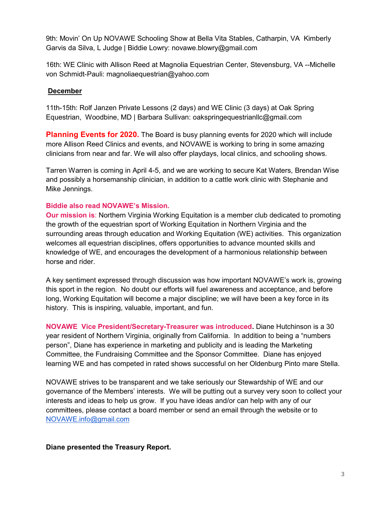9th: Movin' On Up NOVAWE Schooling Show at Bella Vita Stables, Catharpin, VA Kimberly Garvis da Silva, L Judge | Biddie Lowry: novawe.blowry@gmail.com

16th: WE Clinic with Allison Reed at Magnolia Equestrian Center, Stevensburg, VA --Michelle von Schmidt-Pauli: magnoliaequestrian@yahoo.com

#### December

11th-15th: Rolf Janzen Private Lessons (2 days) and WE Clinic (3 days) at Oak Spring Equestrian, Woodbine, MD | Barbara Sullivan: oakspringequestrianllc@gmail.com

**Planning Events for 2020.** The Board is busy planning events for 2020 which will include more Allison Reed Clinics and events, and NOVAWE is working to bring in some amazing clinicians from near and far. We will also offer playdays, local clinics, and schooling shows.

Tarren Warren is coming in April 4-5, and we are working to secure Kat Waters, Brendan Wise and possibly a horsemanship clinician, in addition to a cattle work clinic with Stephanie and Mike Jennings.

#### Biddie also read NOVAWE's Mission.

Our mission is: Northern Virginia Working Equitation is a member club dedicated to promoting the growth of the equestrian sport of Working Equitation in Northern Virginia and the surrounding areas through education and Working Equitation (WE) activities. This organization welcomes all equestrian disciplines, offers opportunities to advance mounted skills and knowledge of WE, and encourages the development of a harmonious relationship between horse and rider.

A key sentiment expressed through discussion was how important NOVAWE's work is, growing this sport in the region. No doubt our efforts will fuel awareness and acceptance, and before long, Working Equitation will become a major discipline; we will have been a key force in its history. This is inspiring, valuable, important, and fun.

NOVAWE Vice President/Secretary-Treasurer was introduced. Diane Hutchinson is a 30 year resident of Northern Virginia, originally from California. In addition to being a "numbers person", Diane has experience in marketing and publicity and is leading the Marketing Committee, the Fundraising Committee and the Sponsor Committee. Diane has enjoyed learning WE and has competed in rated shows successful on her Oldenburg Pinto mare Stella.

NOVAWE strives to be transparent and we take seriously our Stewardship of WE and our governance of the Members' interests. We will be putting out a survey very soon to collect your interests and ideas to help us grow. If you have ideas and/or can help with any of our committees, please contact a board member or send an email through the website or to NOVAWE.info@gmail.com

#### Diane presented the Treasury Report.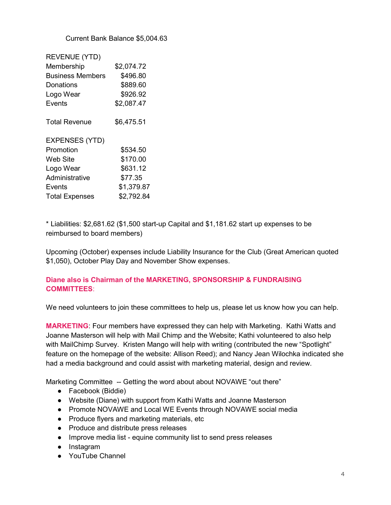Current Bank Balance \$5,004.63

| <b>REVENUE (YTD)</b>    |            |
|-------------------------|------------|
| Membership              | \$2,074.72 |
| <b>Business Members</b> | \$496.80   |
| Donations               | \$889.60   |
| Logo Wear               | \$926.92   |
| Events                  | \$2,087.47 |
|                         |            |
| <b>Total Revenue</b>    | \$6,475.51 |
| <b>EXPENSES (YTD)</b>   |            |
| Promotion               | \$534.50   |
| Web Site                | \$170.00   |
| Logo Wear               | \$631.12   |
| Administrative          | \$77.35    |
| Events                  | \$1,379.87 |
| <b>Total Expenses</b>   | \$2,792.84 |

\* Liabilities: \$2,681.62 (\$1,500 start-up Capital and \$1,181.62 start up expenses to be reimbursed to board members)

Upcoming (October) expenses include Liability Insurance for the Club (Great American quoted \$1,050), October Play Day and November Show expenses.

#### Diane also is Chairman of the MARKETING, SPONSORSHIP & FUNDRAISING COMMITTEES:

We need volunteers to join these committees to help us, please let us know how you can help.

MARKETING: Four members have expressed they can help with Marketing. Kathi Watts and Joanne Masterson will help with Mail Chimp and the Website; Kathi volunteered to also help with MailChimp Survey. Kristen Mango will help with writing (contributed the new "Spotlight" feature on the homepage of the website: Allison Reed); and Nancy Jean Wilochka indicated she had a media background and could assist with marketing material, design and review.

Marketing Committee -- Getting the word about about NOVAWE "out there"

- Facebook (Biddie)
- Website (Diane) with support from Kathi Watts and Joanne Masterson
- Promote NOVAWE and Local WE Events through NOVAWE social media
- Produce flyers and marketing materials, etc
- Produce and distribute press releases
- Improve media list equine community list to send press releases
- Instagram
- YouTube Channel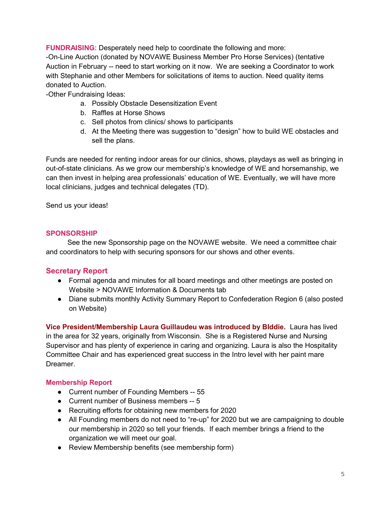FUNDRAISING: Desperately need help to coordinate the following and more: -On-Line Auction (donated by NOVAWE Business Member Pro Horse Services) (tentative Auction in February -- need to start working on it now. We are seeking a Coordinator to work with Stephanie and other Members for solicitations of items to auction. Need quality items donated to Auction.

-Other Fundraising Ideas:

- a. Possibly Obstacle Desensitization Event
- b. Raffles at Horse Shows
- c. Sell photos from clinics/ shows to participants
- d. At the Meeting there was suggestion to "design" how to build WE obstacles and sell the plans.

Funds are needed for renting indoor areas for our clinics, shows, playdays as well as bringing in out-of-state clinicians. As we grow our membership's knowledge of WE and horsemanship, we can then invest in helping area professionals' education of WE. Eventually, we will have more local clinicians, judges and technical delegates (TD).

Send us your ideas!

#### **SPONSORSHIP**

 See the new Sponsorship page on the NOVAWE website. We need a committee chair and coordinators to help with securing sponsors for our shows and other events.

# Secretary Report

- Formal agenda and minutes for all board meetings and other meetings are posted on Website > NOVAWE Information & Documents tab
- Diane submits monthly Activity Summary Report to Confederation Region 6 (also posted on Website)

Vice President/Membership Laura Guillaudeu was introduced by BIddie. Laura has lived in the area for 32 years, originally from Wisconsin. She is a Registered Nurse and Nursing Supervisor and has plenty of experience in caring and organizing. Laura is also the Hospitality Committee Chair and has experienced great success in the Intro level with her paint mare Dreamer.

#### Membership Report

- Current number of Founding Members -- 55
- Current number of Business members -- 5
- Recruiting efforts for obtaining new members for 2020
- All Founding members do not need to "re-up" for 2020 but we are campaigning to double our membership in 2020 so tell your friends. If each member brings a friend to the organization we will meet our goal.
- Review Membership benefits (see membership form)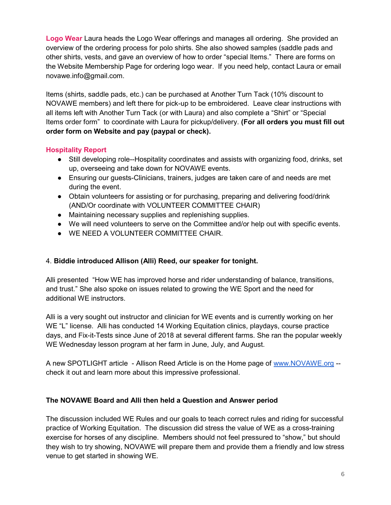Logo Wear Laura heads the Logo Wear offerings and manages all ordering. She provided an overview of the ordering process for polo shirts. She also showed samples (saddle pads and other shirts, vests, and gave an overview of how to order "special Items." There are forms on the Website Membership Page for ordering logo wear. If you need help, contact Laura or email novawe.info@gmail.com.

Items (shirts, saddle pads, etc.) can be purchased at Another Turn Tack (10% discount to NOVAWE members) and left there for pick-up to be embroidered. Leave clear instructions with all items left with Another Turn Tack (or with Laura) and also complete a "Shirt" or "Special Items order form" to coordinate with Laura for pickup/delivery. (For all orders you must fill out order form on Website and pay (paypal or check).

# Hospitality Report

- Still developing role--Hospitality coordinates and assists with organizing food, drinks, set up, overseeing and take down for NOVAWE events.
- Ensuring our guests-Clinicians, trainers, judges are taken care of and needs are met during the event.
- Obtain volunteers for assisting or for purchasing, preparing and delivering food/drink (AND/Or coordinate with VOLUNTEER COMMITTEE CHAIR)
- Maintaining necessary supplies and replenishing supplies.
- We will need volunteers to serve on the Committee and/or help out with specific events.
- WE NEED A VOLUNTEER COMMITTEE CHAIR.

# 4. Biddie introduced Allison (Alli) Reed, our speaker for tonight.

Alli presented "How WE has improved horse and rider understanding of balance, transitions, and trust." She also spoke on issues related to growing the WE Sport and the need for additional WE instructors.

Alli is a very sought out instructor and clinician for WE events and is currently working on her WE "L" license. Alli has conducted 14 Working Equitation clinics, playdays, course practice days, and Fix-it-Tests since June of 2018 at several different farms. She ran the popular weekly WE Wednesday lesson program at her farm in June, July, and August.

A new SPOTLIGHT article - Allison Reed Article is on the Home page of www.NOVAWE.org - check it out and learn more about this impressive professional.

#### The NOVAWE Board and Alli then held a Question and Answer period

The discussion included WE Rules and our goals to teach correct rules and riding for successful practice of Working Equitation. The discussion did stress the value of WE as a cross-training exercise for horses of any discipline. Members should not feel pressured to "show," but should they wish to try showing, NOVAWE will prepare them and provide them a friendly and low stress venue to get started in showing WE.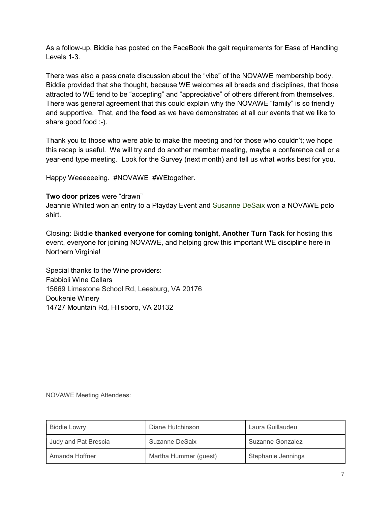As a follow-up, Biddie has posted on the FaceBook the gait requirements for Ease of Handling Levels 1-3.

There was also a passionate discussion about the "vibe" of the NOVAWE membership body. Biddie provided that she thought, because WE welcomes all breeds and disciplines, that those attracted to WE tend to be "accepting" and "appreciative" of others different from themselves. There was general agreement that this could explain why the NOVAWE "family" is so friendly and supportive. That, and the **food** as we have demonstrated at all our events that we like to share good food :-).

Thank you to those who were able to make the meeting and for those who couldn't; we hope this recap is useful. We will try and do another member meeting, maybe a conference call or a year-end type meeting. Look for the Survey (next month) and tell us what works best for you.

Happy Weeeeeeing. #NOVAWE #WEtogether.

Two door prizes were "drawn"

Jeannie Whited won an entry to a Playday Event and Susanne DeSaix won a NOVAWE polo shirt.

Closing: Biddie thanked everyone for coming tonight, Another Turn Tack for hosting this event, everyone for joining NOVAWE, and helping grow this important WE discipline here in Northern Virginia!

Special thanks to the Wine providers: Fabbioli Wine Cellars 15669 Limestone School Rd, Leesburg, VA 20176 Doukenie Winery 14727 Mountain Rd, Hillsboro, VA 20132

NOVAWE Meeting Attendees:

| <b>Biddie Lowry</b>  | Diane Hutchinson      | Laura Guillaudeu   |
|----------------------|-----------------------|--------------------|
| Judy and Pat Brescia | Suzanne DeSaix        | Suzanne Gonzalez   |
| Amanda Hoffner       | Martha Hummer (guest) | Stephanie Jennings |